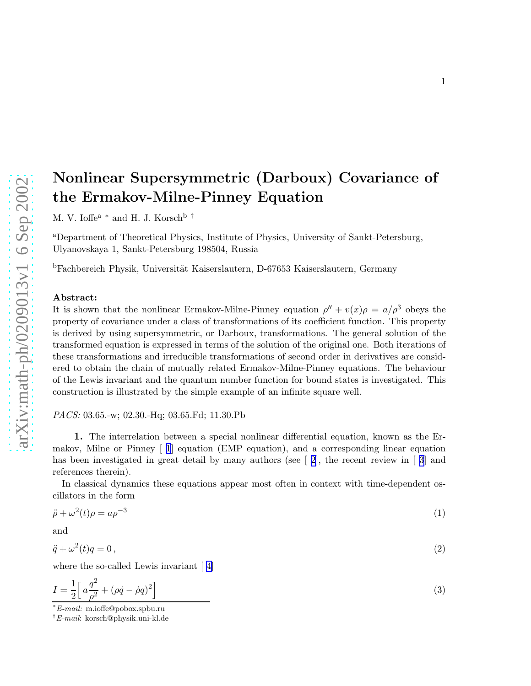## the Ermakov-Milne-Pinney Equation M. V. Ioffe<sup>a</sup> \* and H. J. Korsch<sup>b†</sup> <sup>a</sup>Department of Theoretical Physics, Institute of Physics, University of Sankt-Petersburg, Ulyanovskaya 1, Sankt-Petersburg 198504, Russia <sup>b</sup>Fachbereich Physik, Universität Kaiserslautern, D-67653 Kaiserslautern, Germany Abstract:

It is shown that the nonlinear Ermakov-Milne-Pinney equation  $\rho'' + v(x)\rho = a/\rho^3$  obeys the property of covariance under a class of transformations of its coefficient function. This property is derived by using supersymmetric, or Darboux, transformations. The general solution of the transformed equation is expressed in terms of the solution of the original one. Both iterations of these transformations and irreducible transformations of second order in derivatives are considered to obtain the chain of mutually related Ermakov-Milne-Pinney equations. The behaviour of the Lewis invariant and the quantum number function for bound states is investigated. This construction is illustrated by the simple example of an infinite square well.

<span id="page-0-0"></span>Nonlinear Supersymmetric (Darboux) Covariance of

PACS: 03.65.-w; 02.30.-Hq; 03.65.Fd; 11.30.Pb

1. The interrelation between a special nonlinear differential equation, known as the Ermakov, Milne or Pinney [ [1](#page-7-0)] equation (EMP equation), and a corresponding linear equation has been investigated in great detail by many authors (see  $\lceil 2 \rceil$  $\lceil 2 \rceil$  $\lceil 2 \rceil$ , the recent review in  $\lceil 3 \rceil$  $\lceil 3 \rceil$  $\lceil 3 \rceil$  and references therein).

In classical dynamics these equations appear most often in context with time-dependent oscillators in the form

$$
\ddot{\rho} + \omega^2(t)\rho = a\rho^{-3} \tag{1}
$$

and

$$
\ddot{q} + \omega^2(t)q = 0,\tag{2}
$$

where the so-called Lewis invariant [ [4\]](#page-7-0)

$$
I = \frac{1}{2} \left[ a \frac{q^2}{\rho^2} + (\rho \dot{q} - \dot{\rho} q)^2 \right]
$$
 (3)

<sup>∗</sup>E-mail: m.ioffe@pobox.spbu.ru

<sup>†</sup>E-mail: korsch@physik.uni-kl.de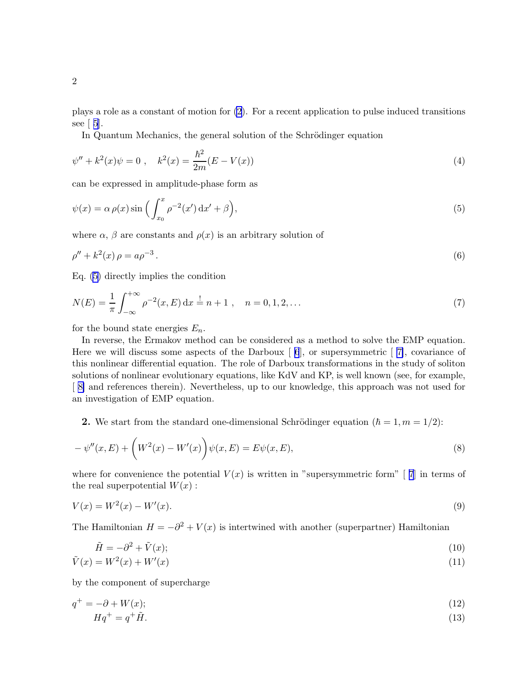<span id="page-1-0"></span>plays a role as a constant of motion for [\(2\)](#page-0-0). For a recent application to pulse induced transitions see  $\lceil 5 \rceil$  $\lceil 5 \rceil$  $\lceil 5 \rceil$ .

In Quantum Mechanics, the general solution of the Schrödinger equation

$$
\psi'' + k^2(x)\psi = 0 \;, \quad k^2(x) = \frac{\hbar^2}{2m}(E - V(x)) \tag{4}
$$

can be expressed in amplitude-phase form as

$$
\psi(x) = \alpha \rho(x) \sin\left(\int_{x_0}^x \rho^{-2}(x') dx' + \beta\right),\tag{5}
$$

where  $\alpha$ ,  $\beta$  are constants and  $\rho(x)$  is an arbitrary solution of

$$
\rho'' + k^2(x)\,\rho = a\rho^{-3}.\tag{6}
$$

Eq. (5) directly implies the condition

$$
N(E) = \frac{1}{\pi} \int_{-\infty}^{+\infty} \rho^{-2}(x, E) dx = n + 1, \quad n = 0, 1, 2, ...
$$
 (7)

for the bound state energies  $E_n$ .

In reverse, the Ermakov method can be considered as a method to solve the EMP equation. Here we will discuss some aspects of the Darboux  $[6]$ , or supersymmetric  $[7]$ , covariance of this nonlinear differential equation. The role of Darboux transformations in the study of soliton solutions of nonlinear evolutionary equations, like KdV and KP, is well known (see, for example, [ [8\]](#page-7-0) and references therein). Nevertheless, up to our knowledge, this approach was not used for an investigation of EMP equation.

2. We start from the standard one-dimensional Schrödinger equation  $(\hbar = 1, m = 1/2)$ :

$$
-\psi''(x,E) + \left(W^2(x) - W'(x)\right)\psi(x,E) = E\psi(x,E),\tag{8}
$$

where for convenience the potential  $V(x)$  is written in "supersymmetric form" [7] in terms of the real superpotential  $W(x)$ :

$$
V(x) = W^{2}(x) - W'(x). \tag{9}
$$

The Hamiltonian  $H = -\partial^2 + V(x)$  is intertwined with another (superpartner) Hamiltonian

$$
\tilde{H} = -\partial^2 + \tilde{V}(x); \tag{10}
$$

$$
\tilde{V}(x) = W^2(x) + W'(x) \tag{11}
$$

by the component of supercharge

$$
q^+ = -\partial + W(x); \tag{12}
$$

$$
Hq^+ = q^+\tilde{H}.\tag{13}
$$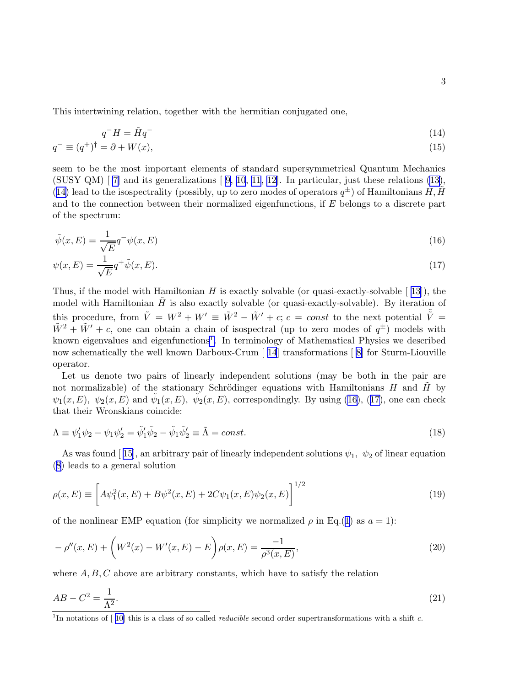<span id="page-2-0"></span>This intertwining relation, together with the hermitian conjugated one,

$$
q^-H = \tilde{H}q^-\tag{14}
$$

$$
q^- \equiv (q^+)^{\dagger} = \partial + W(x),\tag{15}
$$

seem to be the most important elements of standard supersymmetrical Quantum Mechanics (SUSYQM)  $\lceil 7 \rceil$  and its generalizations  $\lceil 9, 10, 11, 12 \rceil$  $\lceil 9, 10, 11, 12 \rceil$  $\lceil 9, 10, 11, 12 \rceil$  $\lceil 9, 10, 11, 12 \rceil$  $\lceil 9, 10, 11, 12 \rceil$ . In particular, just these relations ([13\)](#page-1-0), (14) lead to the isospectrality (possibly, up to zero modes of operators  $q^{\pm}$ ) of Hamiltonians H,  $\tilde{H}$ and to the connection between their normalized eigenfunctions, if E belongs to a discrete part of the spectrum:

$$
\tilde{\psi}(x,E) = \frac{1}{\sqrt{E}} q^{-} \psi(x,E)
$$
\n(16)

$$
\psi(x,E) = \frac{1}{\sqrt{E}} q^+ \tilde{\psi}(x,E). \tag{17}
$$

Thus, if the model with Hamiltonian H is exactly solvable (or quasi-exactly-solvable  $\lceil 13 \rceil$  $\lceil 13 \rceil$  $\lceil 13 \rceil$ ), the model with Hamiltonian  $H$  is also exactly solvable (or quasi-exactly-solvable). By iteration of this procedure, from  $\tilde{V} = W^2 + W' \equiv \tilde{W}^2 - \tilde{W}' + c$ ;  $c = const$  to the next potential  $\tilde{\tilde{V}} = \tilde{V}$  $\tilde{W}^2 + \tilde{W}' + c$ , one can obtain a chain of isospectral (up to zero modes of  $q^{\pm}$ ) models with known eigenvalues and eigenfunctions<sup>1</sup>. In terminology of Mathematical Physics we described now schematically the well known Darboux-Crum [ [14](#page-7-0)] transformations [ [8\]](#page-7-0) for Sturm-Liouville operator.

Let us denote two pairs of linearly independent solutions (may be both in the pair are not normalizable) of the stationary Schrödinger equations with Hamiltonians H and  $\tilde{H}$  by  $\psi_1(x,E)$ ,  $\psi_2(x,E)$  and  $\tilde{\psi}_1(x,E)$ ,  $\tilde{\psi}_2(x,E)$ , correspondingly. By using (16), (17), one can check that their Wronskians coincide:

$$
\Lambda \equiv \psi_1' \psi_2 - \psi_1 \psi_2' = \tilde{\psi}_1' \tilde{\psi}_2 - \tilde{\psi}_1 \tilde{\psi}_2' \equiv \tilde{\Lambda} = const.
$$
\n(18)

As was found [15], an arbitrary pair of linearly independent solutions  $\psi_1$ ,  $\psi_2$  of linear equation ([8](#page-1-0)) leads to a general solution

$$
\rho(x,E) \equiv \left[ A\psi_1^2(x,E) + B\psi^2(x,E) + 2C\psi_1(x,E)\psi_2(x,E) \right]^{1/2} \tag{19}
$$

of the nonlinear EMP equation (for simplicity we normalized  $\rho$  in Eq.([1](#page-0-0)) as  $a = 1$ ):

$$
- \rho''(x, E) + \left(W^2(x) - W'(x, E) - E\right)\rho(x, E) = \frac{-1}{\rho^3(x, E)},
$$
\n(20)

where  $A, B, C$  above are arbitrary constants, which have to satisfy the relation

$$
AB - C^2 = \frac{1}{\Lambda^2}.\tag{21}
$$

<sup>&</sup>lt;sup>1</sup>In notations of  $[10]$  this is a class of so called *reducible* second order supertransformations with a shift c.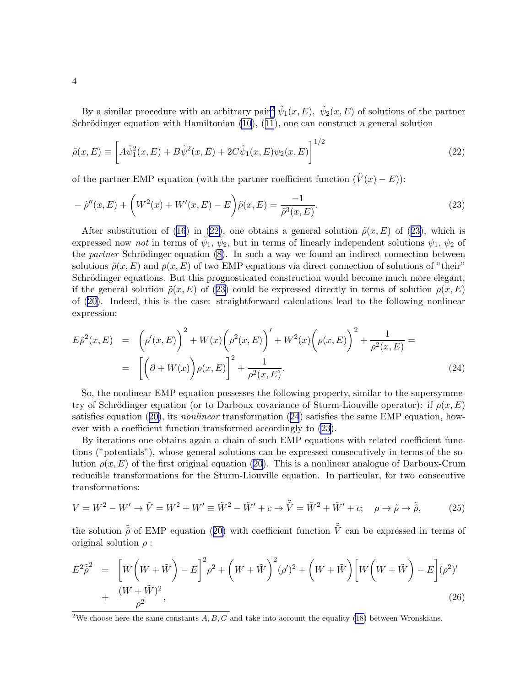<span id="page-3-0"></span>By a similar procedure with an arbitrary pair<sup>2</sup>  $\tilde{\psi}_1(x,E)$ ,  $\tilde{\psi}_2(x,E)$  of solutions of the partner Schrödingerequation with Hamiltonian  $(10)$ ,  $(11)$  $(11)$  $(11)$ , one can construct a general solution

$$
\tilde{\rho}(x,E) \equiv \left[ A \tilde{\psi}_1^2(x,E) + B \tilde{\psi}^2(x,E) + 2C \tilde{\psi}_1(x,E) \psi_2(x,E) \right]^{1/2}
$$
\n(22)

of the partner EMP equation (with the partner coefficient function  $(\tilde{V}(x) - E)$ ):

$$
- \tilde{\rho}''(x, E) + \left( W^2(x) + W'(x, E) - E \right) \tilde{\rho}(x, E) = \frac{-1}{\tilde{\rho}^3(x, E)}.
$$
\n(23)

Aftersubstitution of ([16](#page-2-0)) in (22), one obtains a general solution  $\tilde{\rho}(x, E)$  of (23), which is expressed now *not* in terms of  $\tilde{\psi}_1$ ,  $\tilde{\psi}_2$ , but in terms of linearly independent solutions  $\psi_1$ ,  $\psi_2$  of the *partner* Schrödinger equation  $(8)$ . In such a way we found an indirect connection between solutions  $\tilde{\rho}(x, E)$  and  $\rho(x, E)$  of two EMP equations via direct connection of solutions of "their" Schrödinger equations. But this prognosticated construction would become much more elegant, if the general solution  $\tilde{\rho}(x, E)$  of (23) could be expressed directly in terms of solution  $\rho(x, E)$ of([20\)](#page-2-0). Indeed, this is the case: straightforward calculations lead to the following nonlinear expression:

$$
E\tilde{\rho}^{2}(x,E) = \left(\rho'(x,E)\right)^{2} + W(x)\left(\rho^{2}(x,E)\right)' + W^{2}(x)\left(\rho(x,E)\right)^{2} + \frac{1}{\rho^{2}(x,E)} =
$$
  
= 
$$
\left[\left(\partial + W(x)\right)\rho(x,E)\right]^{2} + \frac{1}{\rho^{2}(x,E)}.
$$
 (24)

So, the nonlinear EMP equation possesses the following property, similar to the supersymmetry of Schrödinger equation (or to Darboux covariance of Sturm-Liouville operator): if  $\rho(x, E)$ satisfiesequation ([20\)](#page-2-0), its *nonlinear* transformation (24) satisfies the same EMP equation, however with a coefficient function transformed accordingly to (23).

By iterations one obtains again a chain of such EMP equations with related coefficient functions ("potentials"), whose general solutions can be expressed consecutively in terms of the solution  $\rho(x, E)$  of the first original equation [\(20](#page-2-0)). This is a nonlinear analogue of Darboux-Crum reducible transformations for the Sturm-Liouville equation. In particular, for two consecutive transformations:

$$
V = W^2 - W' \rightarrow \tilde{V} = W^2 + W' \equiv \tilde{W}^2 - \tilde{W}' + c \rightarrow \tilde{\tilde{V}} = \tilde{W}^2 + \tilde{W}' + c; \quad \rho \rightarrow \tilde{\rho} \rightarrow \tilde{\tilde{\rho}}, \tag{25}
$$

thesolution  $\tilde{\rho}$  of EMP equation ([20\)](#page-2-0) with coefficient function  $\tilde{\tilde{V}}$  can be expressed in terms of original solution  $\rho$ :

$$
E^{2} \tilde{\rho}^{2} = \left[ W \left( W + \tilde{W} \right) - E \right]^{2} \rho^{2} + \left( W + \tilde{W} \right)^{2} (\rho')^{2} + \left( W + \tilde{W} \right) \left[ W \left( W + \tilde{W} \right) - E \right] (\rho^{2})' + \frac{(W + \tilde{W})^{2}}{\rho^{2}},
$$
\n(26)

<sup>&</sup>lt;sup>2</sup>We choose here the same constants  $A, B, C$  and take into account the equality [\(18\)](#page-2-0) between Wronskians.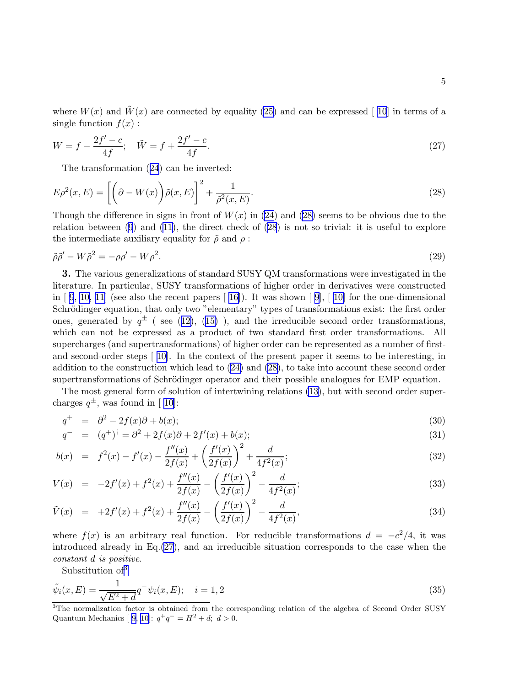<span id="page-4-0"></span>where  $W(x)$  and  $\tilde{W}(x)$  are connected by equality [\(25](#page-3-0)) and can be expressed [10] in terms of a single function  $f(x)$ :

$$
W = f - \frac{2f' - c}{4f}; \quad \tilde{W} = f + \frac{2f' - c}{4f}.
$$
\n(27)

The transformation([24](#page-3-0)) can be inverted:

$$
E\rho^{2}(x,E) = \left[ \left( \partial - W(x) \right) \tilde{\rho}(x,E) \right]^{2} + \frac{1}{\tilde{\rho}^{2}(x,E)}.
$$
\n(28)

Though the difference in signs in front of  $W(x)$  in [\(24](#page-3-0)) and (28) seems to be obvious due to the relation between [\(9](#page-1-0)) and [\(11\)](#page-1-0), the direct check of (28) is not so trivial: it is useful to explore the intermediate auxiliary equality for  $\tilde{\rho}$  and  $\rho$ :

$$
\tilde{\rho}\tilde{\rho}' - W\tilde{\rho}^2 = -\rho\rho' - W\rho^2. \tag{29}
$$

3. The various generalizations of standard SUSY QM transformations were investigated in the literature. In particular, SUSY transformations of higher order in derivatives were constructed in  $\lceil 9, 10, 11 \rceil$  $\lceil 9, 10, 11 \rceil$  $\lceil 9, 10, 11 \rceil$  $\lceil 9, 10, 11 \rceil$  $\lceil 9, 10, 11 \rceil$  (see also the recent papers  $\lceil 16 \rceil$  $\lceil 16 \rceil$  $\lceil 16 \rceil$ ). It was shown  $\lceil 9 \rceil$  $\lceil 9 \rceil$  $\lceil 9 \rceil$ ,  $\lceil 10 \rceil$  for the one-dimensional Schrödinger equation, that only two "elementary" types of transformations exist: the first order ones,generated by  $q^{\pm}$  (see ([12\)](#page-1-0), ([15\)](#page-2-0)), and the irreducible second order transformations, which can not be expressed as a product of two standard first order transformations. All supercharges (and supertransformations) of higher order can be represented as a number of firstand second-order steps [ [10\]](#page-7-0). In the context of the present paper it seems to be interesting, in addition to the construction which lead to([24\)](#page-3-0) and (28), to take into account these second order supertransformations of Schrödinger operator and their possible analogues for EMP equation.

The most general form of solution of intertwining relations [\(13](#page-1-0)), but with second order supercharges  $q^{\pm}$ , was found in [10]:

$$
q^+ = \partial^2 - 2f(x)\partial + b(x); \tag{30}
$$

$$
q^{-} = (q^{+})^{\dagger} = \partial^{2} + 2f(x)\partial + 2f'(x) + b(x); \tag{31}
$$

$$
b(x) = f^{2}(x) - f'(x) - \frac{f''(x)}{2f(x)} + \left(\frac{f'(x)}{2f(x)}\right)^{2} + \frac{d}{4f^{2}(x)};
$$
\n(32)

$$
V(x) = -2f'(x) + f^{2}(x) + \frac{f''(x)}{2f(x)} - \left(\frac{f'(x)}{2f(x)}\right)^{2} - \frac{d}{4f^{2}(x)};
$$
\n(33)

$$
\tilde{V}(x) = +2f'(x) + f^{2}(x) + \frac{f''(x)}{2f(x)} - \left(\frac{f'(x)}{2f(x)}\right)^{2} - \frac{d}{4f^{2}(x)},
$$
\n(34)

where  $f(x)$  is an arbitrary real function. For reducible transformations  $d = -c^2/4$ , it was introduced already in  $Eq.(27)$ , and an irreducible situation corresponds to the case when the constant d is positive.

Substitution of<sup>3</sup>

$$
\tilde{\psi}_i(x,E) = \frac{1}{\sqrt{E^2 + d}} q^- \psi_i(x,E); \quad i = 1,2
$$
\n(35)

<sup>&</sup>lt;sup>3</sup>The normalization factor is obtained from the corresponding relation of the algebra of Second Order SUSY Quantum Mechanics [ [9, 10](#page-7-0)]:  $q^+q^- = H^2 + d$ ;  $d > 0$ .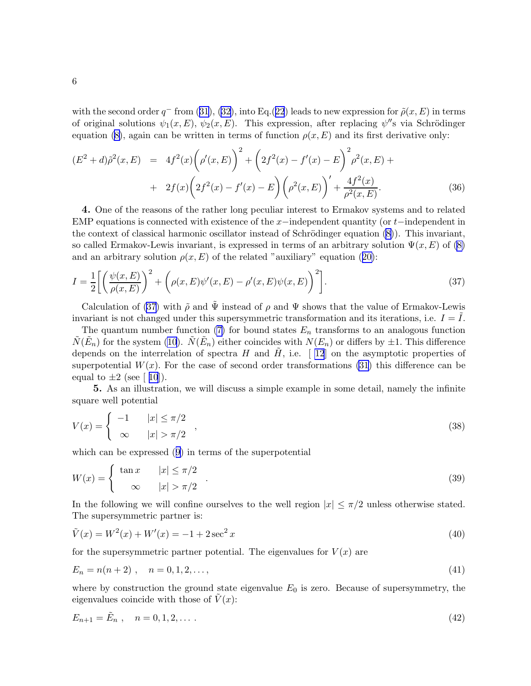<span id="page-5-0"></span>with the second order  $q^-$  from [\(31\)](#page-4-0), [\(32](#page-4-0)), into Eq.([22](#page-3-0)) leads to new expression for  $\tilde{\rho}(x,E)$  in terms of original solutions  $\psi_1(x, E)$ ,  $\psi_2(x, E)$ . This expression, after replacing  $\psi''$ s via Schrödinger equation [\(8\)](#page-1-0), again can be written in terms of function  $\rho(x, E)$  and its first derivative only:

$$
(E2 + d)\tilde{\rho}2(x, E) = 4f2(x)\left(\rho'(x, E)\right)2 + \left(2f2(x) - f'(x) - E\right)2\rho2(x, E) ++ 2f(x)\left(2f2(x) - f'(x) - E\right)\left(\rho2(x, E)\right) + \frac{4f2(x)}{\rho2(x, E)}.
$$
(36)

4. One of the reasons of the rather long peculiar interest to Ermakov systems and to related EMP equations is connected with existence of the  $x$ −independent quantity (or  $t$ −independent in the context of classical harmonic oscillator instead of Schrödinger equation  $(8)$ ). This invariant, so called Ermakov-Lewis invariant, is expressed in terms of an arbitrary solution  $\Psi(x, E)$  of [\(8\)](#page-1-0) andan arbitrary solution  $\rho(x, E)$  of the related "auxiliary" equation ([20\)](#page-2-0):

$$
I = \frac{1}{2} \left[ \left( \frac{\psi(x, E)}{\rho(x, E)} \right)^2 + \left( \rho(x, E) \psi'(x, E) - \rho'(x, E) \psi(x, E) \right)^2 \right]. \tag{37}
$$

Calculation of (37) with  $\tilde{\rho}$  and  $\Psi$  instead of  $\rho$  and  $\Psi$  shows that the value of Ermakov-Lewis invariant is not changed under this supersymmetric transformation and its iterations, i.e.  $I = I$ .

The quantum number function [\(7\)](#page-1-0) for bound states  $E_n$  transforms to an analogous function  $\tilde{N}(\tilde{E}_n)$  for the system [\(10](#page-1-0)).  $\tilde{N}(\tilde{E}_n)$  either coincides with  $N(E_n)$  or differs by  $\pm 1$ . This difference depends on the interrelation of spectra H and H, i.e. [12] on the asymptotic properties of superpotential  $W(x)$ . For the case of second order transformations [\(31](#page-4-0)) this difference can be equal to  $\pm 2$  (see [ [10](#page-7-0)]).

5. As an illustration, we will discuss a simple example in some detail, namely the infinite square well potential

$$
V(x) = \begin{cases} -1 & |x| \le \pi/2 \\ \infty & |x| > \pi/2 \end{cases} \tag{38}
$$

which can be expressed([9\)](#page-1-0) in terms of the superpotential

$$
W(x) = \begin{cases} \tan x & |x| \le \pi/2 \\ \infty & |x| > \pi/2 \end{cases} \tag{39}
$$

In the following we will confine ourselves to the well region  $|x| \leq \pi/2$  unless otherwise stated. The supersymmetric partner is:

$$
\tilde{V}(x) = W^2(x) + W'(x) = -1 + 2\sec^2 x \tag{40}
$$

for the supersymmetric partner potential. The eigenvalues for  $V(x)$  are

$$
E_n = n(n+2) , \quad n = 0, 1, 2, \dots, \tag{41}
$$

where by construction the ground state eigenvalue  $E_0$  is zero. Because of supersymmetry, the eigenvalues coincide with those of  $\tilde{V}(x)$ :

$$
E_{n+1} = \tilde{E}_n \,, \quad n = 0, 1, 2, \dots \,.
$$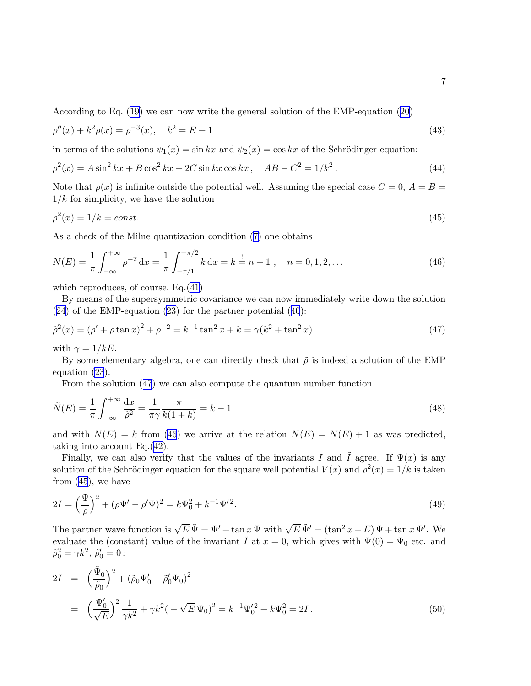According to Eq.([19\)](#page-2-0) we can now write the general solution of the EMP-equation([20](#page-2-0))

$$
\rho''(x) + k^2 \rho(x) = \rho^{-3}(x), \quad k^2 = E + 1 \tag{43}
$$

in terms of the solutions  $\psi_1(x) = \sin kx$  and  $\psi_2(x) = \cos kx$  of the Schrödinger equation:

$$
\rho^{2}(x) = A \sin^{2} kx + B \cos^{2} kx + 2C \sin kx \cos kx, \quad AB - C^{2} = 1/k^{2}. \tag{44}
$$

Note that  $\rho(x)$  is infinite outside the potential well. Assuming the special case  $C = 0$ ,  $A = B =$  $1/k$  for simplicity, we have the solution

$$
\rho^2(x) = 1/k = const.
$$
\n<sup>(45)</sup>

As a check of the Milne quantization condition [\(7\)](#page-1-0) one obtains

$$
N(E) = \frac{1}{\pi} \int_{-\infty}^{+\infty} \rho^{-2} dx = \frac{1}{\pi} \int_{-\pi/1}^{+\pi/2} k dx = k = n + 1, \quad n = 0, 1, 2, \dots
$$
 (46)

which reproduces, of course, Eq.[\(41\)](#page-5-0)

By means of the supersymmetric covariance we can now immediately write down the solution  $(24)$  $(24)$ of the EMP-equation  $(23)$  for the partner potential  $(40)$  $(40)$  $(40)$ :

$$
\tilde{\rho}^2(x) = (\rho' + \rho \tan x)^2 + \rho^{-2} = k^{-1} \tan^2 x + k = \gamma (k^2 + \tan^2 x) \tag{47}
$$

with  $\gamma = 1/kE$ .

By some elementary algebra, one can directly check that  $\tilde{\rho}$  is indeed a solution of the EMP equation [\(23](#page-3-0)).

From the solution (47) we can also compute the quantum number function

$$
\tilde{N}(E) = \frac{1}{\pi} \int_{-\infty}^{+\infty} \frac{dx}{\tilde{\rho}^2} = \frac{1}{\pi \gamma} \frac{\pi}{k(1+k)} = k - 1
$$
\n(48)

and with  $N(E) = k$  from (46) we arrive at the relation  $N(E) = \tilde{N}(E) + 1$  as was predicted, taking into account Eq.[\(42\)](#page-5-0).

Finally, we can also verify that the values of the invariants I and  $\tilde{I}$  agree. If  $\Psi(x)$  is any solution of the Schrödinger equation for the square well potential  $V(x)$  and  $\rho^2(x) = 1/k$  is taken from (45), we have

$$
2I = \left(\frac{\Psi}{\rho}\right)^2 + (\rho\Psi' - \rho'\Psi)^2 = k\Psi_0^2 + k^{-1}\Psi'^2.
$$
\n(49)

The partner wave function is  $\sqrt{E} \tilde{\Psi} = \Psi' + \tan x \Psi$  with  $\sqrt{E} \tilde{\Psi}' = (\tan^2 x - E) \Psi + \tan x \Psi'$ . We evaluate the (constant) value of the invariant  $\tilde{I}$  at  $x = 0$ , which gives with  $\Psi(0) = \Psi_0$  etc. and  $\tilde{\rho}_0^2 = \gamma k^2, \ \tilde{\rho}_0' = 0$ :

$$
2\tilde{I} = \left(\frac{\tilde{\Psi}_0}{\tilde{\rho}_0}\right)^2 + (\tilde{\rho}_0 \tilde{\Psi}_0' - \tilde{\rho}_0' \tilde{\Psi}_0)^2
$$
  
= 
$$
\left(\frac{\Psi_0'}{\sqrt{E}}\right)^2 \frac{1}{\gamma k^2} + \gamma k^2 \left(-\sqrt{E} \Psi_0\right)^2 = k^{-1} \Psi_0'^2 + k \Psi_0^2 = 2I.
$$
 (50)